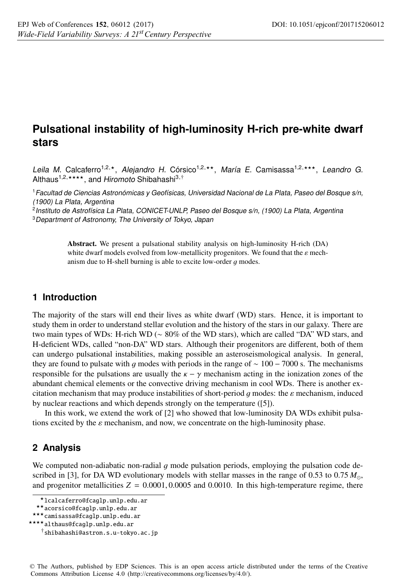# **Pulsational instability of high-luminosity H-rich pre-white dwarf stars**

Leila M. Calcaferro<sup>1,2,\*</sup>, Alejandro H. Córsico<sup>1,2,\*\*</sup>, María E. Camisassa<sup>1,2,\*\*\*</sup>, Leandro G. Althaus<sup>1,2,\*\*\*\*</sup>, and Hiromoto Shibahashi<sup>3,†</sup>

<sup>1</sup>Facultad de Ciencias Astronómicas y Geofísicas, Universidad Nacional de La Plata, Paseo del Bosque s/n, (1900) La Plata, Argentina

<sup>2</sup>Instituto de Astrofísica La Plata, CONICET-UNLP, Paseo del Bosque s/n, (1900) La Plata, Argentina <sup>3</sup> Department of Astronomy, The University of Tokyo, Japan

> Abstract. We present a pulsational stability analysis on high-luminosity H-rich (DA) white dwarf models evolved from low-metallicity progenitors. We found that the  $\varepsilon$  mechanism due to H-shell burning is able to excite low-order  $q$  modes.

### **1 Introduction**

The majority of the stars will end their lives as white dwarf (WD) stars. Hence, it is important to study them in order to understand stellar evolution and the history of the stars in our galaxy. There are two main types of WDs: H-rich WD (∼ 80% of the WD stars), which are called "DA" WD stars, and H-deficient WDs, called "non-DA" WD stars. Although their progenitors are different, both of them can undergo pulsational instabilities, making possible an asteroseismological analysis. In general, they are found to pulsate with g modes with periods in the range of  $\sim 100 - 7000$  s. The mechanisms responsible for the pulsations are usually the  $\kappa - \gamma$  mechanism acting in the ionization zones of the abundant chemical elements or the convective driving mechanism in cool WDs. There is another excitation mechanism that may produce instabilities of short-period q modes: the  $\varepsilon$  mechanism, induced by nuclear reactions and which depends strongly on the temperature ([5]).

In this work, we extend the work of [2] who showed that low-luminosity DA WDs exhibit pulsations excited by the  $\varepsilon$  mechanism, and now, we concentrate on the high-luminosity phase.

## **2 Analysis**

We computed non-adiabatic non-radial g mode pulsation periods, employing the pulsation code described in [3], for DA WD evolutionary models with stellar masses in the range of 0.53 to 0.75  $M_{\odot}$ , and progenitor metallicities  $Z = 0.0001, 0.0005$  and 0.0010. In this high-temperature regime, there

<sup>-</sup>lcalcaferro@fcaglp.unlp.edu.ar

<sup>-</sup>-acorsico@fcaglp.unlp.edu.ar

<sup>-</sup>--camisassa@fcaglp.unlp.edu.ar

<sup>-</sup>---althaus@fcaglp.unlp.edu.ar

<sup>†</sup>shibahashi@astron.s.u-tokyo.ac.jp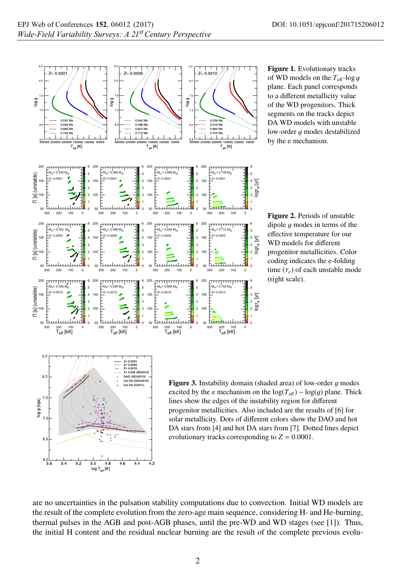

Figure 1. Evolutionary tracks of WD models on the  $T_{\text{eff}}$ -log g plane. Each panel corresponds to a different metallicity value of the WD progenitors. Thick segments on the tracks depict DA WD models with unstable low-order  $q$  modes destabilized by the  $\varepsilon$  mechanism.

Figure 2. Periods of unstable dipole  $q$  modes in terms of the effective temperature for our WD models for different progenitor metallicities. Color coding indicates the e-folding time (τ*<sup>e</sup>*) of each unstable mode (right scale).



**Figure 3.** Instability domain (shaded area) of low-order  $g$  modes excited by the  $\varepsilon$  mechanism on the  $\log(T_{\text{eff}}) - \log(q)$  plane. Thick lines show the edges of the instability region for different progenitor metallicities. Also included are the results of [6] for solar metallicity. Dots of different colors show the DAO and hot DA stars from [4] and hot DA stars from [7]. Dotted lines depict evolutionary tracks corresponding to  $Z = 0.0001$ .

are no uncertainties in the pulsation stability computations due to convection. Initial WD models are the result of the complete evolution from the zero-age main sequence, considering H- and He-burning, thermal pulses in the AGB and post-AGB phases, until the pre-WD and WD stages (see [1]). Thus, the initial H content and the residual nuclear burning are the result of the complete previous evolu